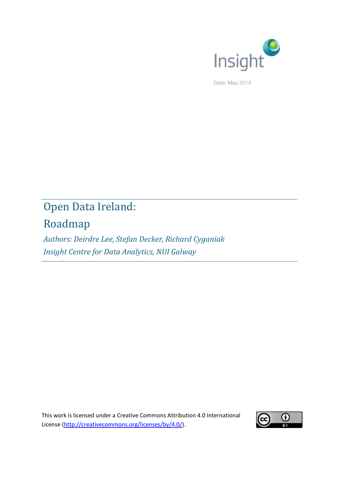

Date: May 2014

# Open Data Ireland:

# Roadmap

*Authors: Deirdre Lee, Stefan Decker, Richard Cyganiak Insight Centre for Data Analytics, NUI Galway*

This work is licensed under a Creative Commons Attribution 4.0 International License [\(http://creativecommons.org/licenses/by/4.0/\)](http://creativecommons.org/licenses/by/4.0/).

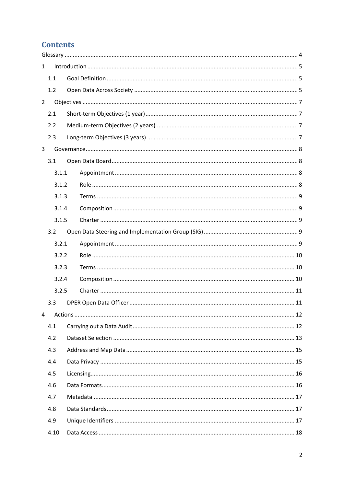# **Contents**

| $\mathbf{1}$   |       |  |  |
|----------------|-------|--|--|
|                | 1.1   |  |  |
|                | 1.2   |  |  |
| $\overline{2}$ |       |  |  |
|                | 2.1   |  |  |
|                | 2.2   |  |  |
|                | 2.3   |  |  |
| 3              |       |  |  |
|                | 3.1   |  |  |
|                | 3.1.1 |  |  |
|                | 3.1.2 |  |  |
|                | 3.1.3 |  |  |
|                | 3.1.4 |  |  |
|                | 3.1.5 |  |  |
|                | 3.2   |  |  |
|                | 3.2.1 |  |  |
|                | 3.2.2 |  |  |
|                | 3.2.3 |  |  |
|                | 3.2.4 |  |  |
|                | 3.2.5 |  |  |
|                | 3.3   |  |  |
| 4              |       |  |  |
|                | 4.1   |  |  |
|                | 4.2   |  |  |
|                | 4.3   |  |  |
|                | 4.4   |  |  |
|                | 4.5   |  |  |
|                | 4.6   |  |  |
|                | 4.7   |  |  |
|                | 4.8   |  |  |
|                | 4.9   |  |  |
|                | 4.10  |  |  |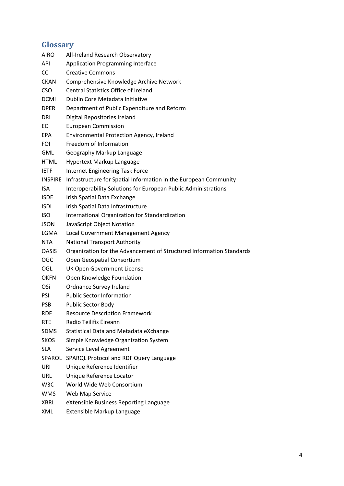# <span id="page-3-0"></span>**Glossary**

| <b>AIRO</b>      | All-Ireland Research Observatory                                     |
|------------------|----------------------------------------------------------------------|
| <b>API</b>       | <b>Application Programming Interface</b>                             |
| <b>CC</b>        | <b>Creative Commons</b>                                              |
| <b>CKAN</b>      | Comprehensive Knowledge Archive Network                              |
| <b>CSO</b>       | <b>Central Statistics Office of Ireland</b>                          |
| <b>DCMI</b>      | Dublin Core Metadata Initiative                                      |
| <b>DPER</b>      | Department of Public Expenditure and Reform                          |
| <b>DRI</b>       | Digital Repositories Ireland                                         |
| EC               | <b>European Commission</b>                                           |
| <b>EPA</b>       | Environmental Protection Agency, Ireland                             |
| <b>FOI</b>       | Freedom of Information                                               |
| GML              | Geography Markup Language                                            |
| <b>HTML</b>      | Hypertext Markup Language                                            |
| <b>IETF</b>      | Internet Engineering Task Force                                      |
| <b>INSPIRE</b>   | Infrastructure for Spatial Information in the European Community     |
| ISA.             | Interoperability Solutions for European Public Administrations       |
| <b>ISDE</b>      | Irish Spatial Data Exchange                                          |
| <b>ISDI</b>      | Irish Spatial Data Infrastructure                                    |
| <b>ISO</b>       | International Organization for Standardization                       |
| <b>JSON</b>      | JavaScript Object Notation                                           |
| LGMA             | Local Government Management Agency                                   |
| <b>NTA</b>       | <b>National Transport Authority</b>                                  |
| <b>OASIS</b>     | Organization for the Advancement of Structured Information Standards |
| <b>OGC</b>       | Open Geospatial Consortium                                           |
| OGL              | UK Open Government License                                           |
| <b>OKFN</b>      | Open Knowledge Foundation                                            |
| OSi              | <b>Ordnance Survey Ireland</b>                                       |
| <b>PSI</b>       | <b>Public Sector Information</b>                                     |
| <b>PSB</b>       | Public Sector Body                                                   |
| <b>RDF</b>       | <b>Resource Description Framework</b>                                |
| <b>RTE</b>       | Radio Teilifis Éireann                                               |
| SDMS             | Statistical Data and Metadata eXchange                               |
| <b>SKOS</b>      | Simple Knowledge Organization System                                 |
| <b>SLA</b>       | Service Level Agreement                                              |
| SPARQL           | SPARQL Protocol and RDF Query Language                               |
| URI              | Unique Reference Identifier                                          |
| URL              | Unique Reference Locator                                             |
| W <sub>3</sub> C | World Wide Web Consortium                                            |
| WMS              | Web Map Service                                                      |
| <b>XBRL</b>      | eXtensible Business Reporting Language                               |
| XML              | Extensible Markup Language                                           |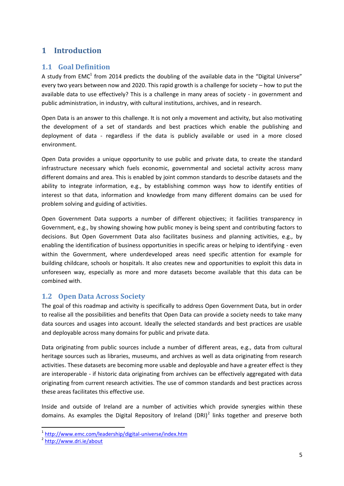# <span id="page-4-0"></span>**1 Introduction**

## <span id="page-4-1"></span>**1.1 Goal Definition**

A study from EMC<sup>1</sup> from 2014 predicts the doubling of the available data in the "Digital Universe" every two years between now and 2020. This rapid growth is a challenge for society – how to put the available data to use effectively? This is a challenge in many areas of society - in government and public administration, in industry, with cultural institutions, archives, and in research.

Open Data is an answer to this challenge. It is not only a movement and activity, but also motivating the development of a set of standards and best practices which enable the publishing and deployment of data - regardless if the data is publicly available or used in a more closed environment.

Open Data provides a unique opportunity to use public and private data, to create the standard infrastructure necessary which fuels economic, governmental and societal activity across many different domains and area. This is enabled by joint common standards to describe datasets and the ability to integrate information, e.g., by establishing common ways how to identify entities of interest so that data, information and knowledge from many different domains can be used for problem solving and guiding of activities.

Open Government Data supports a number of different objectives; it facilities transparency in Government, e.g., by showing showing how public money is being spent and contributing factors to decisions. But Open Government Data also facilitates business and planning activities, e.g., by enabling the identification of business opportunities in specific areas or helping to identifying - even within the Government, where underdeveloped areas need specific attention for example for building childcare, schools or hospitals. It also creates new and opportunities to exploit this data in unforeseen way, especially as more and more datasets become available that this data can be combined with.

### <span id="page-4-2"></span>**1.2 Open Data Across Society**

The goal of this roadmap and activity is specifically to address Open Government Data, but in order to realise all the possibilities and benefits that Open Data can provide a society needs to take many data sources and usages into account. Ideally the selected standards and best practices are usable and deployable across many domains for public and private data.

Data originating from public sources include a number of different areas, e.g., data from cultural heritage sources such as libraries, museums, and archives as well as data originating from research activities. These datasets are becoming more usable and deployable and have a greater effect is they are interoperable - if historic data originating from archives can be effectively aggregated with data originating from current research activities. The use of common standards and best practices across these areas facilitates this effective use.

Inside and outside of Ireland are a number of activities which provide synergies within these domains. As examples the Digital Repository of Ireland (DRI)<sup>2</sup> links together and preserve both

1

<sup>&</sup>lt;sup>1</sup> <http://www.emc.com/leadership/digital-universe/index.htm>

<sup>&</sup>lt;sup>2</sup> <http://www.dri.ie/about>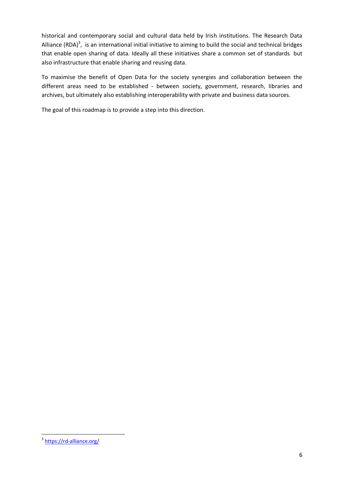historical and contemporary social and cultural data held by Irish institutions. The Research Data Alliance (RDA)<sup>3</sup>, is an international initial initiative to aiming to build the social and technical bridges that enable open sharing of data. Ideally all these initiatives share a common set of standards but also infrastructure that enable sharing and reusing data.

To maximise the benefit of Open Data for the society synergies and collaboration between the different areas need to be established - between society, government, research, libraries and archives, but ultimately also establishing interoperability with private and business data sources.

The goal of this roadmap is to provide a step into this direction.

a<br>Anttps://rd-alliance.org/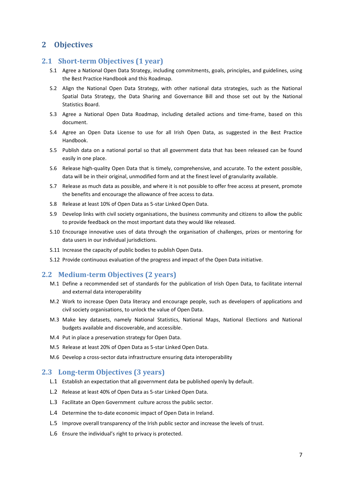## <span id="page-6-0"></span>**2 Objectives**

### <span id="page-6-1"></span>**2.1 Short-term Objectives (1 year)**

- S.1 Agree a National Open Data Strategy, including commitments, goals, principles, and guidelines, using the Best Practice Handbook and this Roadmap.
- S.2 Align the National Open Data Strategy, with other national data strategies, such as the National Spatial Data Strategy, the Data Sharing and Governance Bill and those set out by the National Statistics Board.
- S.3 Agree a National Open Data Roadmap, including detailed actions and time-frame, based on this document.
- S.4 Agree an Open Data License to use for all Irish Open Data, as suggested in the Best Practice Handbook.
- S.5 Publish data on a national portal so that all government data that has been released can be found easily in one place.
- S.6 Release high-quality Open Data that is timely, comprehensive, and accurate. To the extent possible, data will be in their original, unmodified form and at the finest level of granularity available.
- S.7 Release as much data as possible, and where it is not possible to offer free access at present, promote the benefits and encourage the allowance of free access to data.
- S.8 Release at least 10% of Open Data as 5-star Linked Open Data.
- S.9 Develop links with civil society organisations, the business community and citizens to allow the public to provide feedback on the most important data they would like released.
- S.10 Encourage innovative uses of data through the organisation of challenges, prizes or mentoring for data users in our individual jurisdictions.
- S.11 Increase the capacity of public bodies to publish Open Data.
- S.12 Provide continuous evaluation of the progress and impact of the Open Data initiative.

### <span id="page-6-2"></span>**2.2 Medium-term Objectives (2 years)**

- M.1 Define a recommended set of standards for the publication of Irish Open Data, to facilitate internal and external data interoperability
- M.2 Work to increase Open Data literacy and encourage people, such as developers of applications and civil society organisations, to unlock the value of Open Data.
- M.3 Make key datasets, namely National Statistics, National Maps, National Elections and National budgets available and discoverable, and accessible.
- M.4 Put in place a preservation strategy for Open Data.
- M.5 Release at least 20% of Open Data as 5-star Linked Open Data.
- M.6 Develop a cross-sector data infrastructure ensuring data interoperability

### <span id="page-6-3"></span>**2.3 Long-term Objectives (3 years)**

- L.1 Establish an expectation that all government data be published openly by default.
- L.2 Release at least 40% of Open Data as 5-star Linked Open Data.
- L.3 Facilitate an Open Government culture across the public sector.
- L.4 Determine the to-date economic impact of Open Data in Ireland.
- L.5 Improve overall transparency of the Irish public sector and increase the levels of trust.
- L.6 Ensure the individual's right to privacy is protected.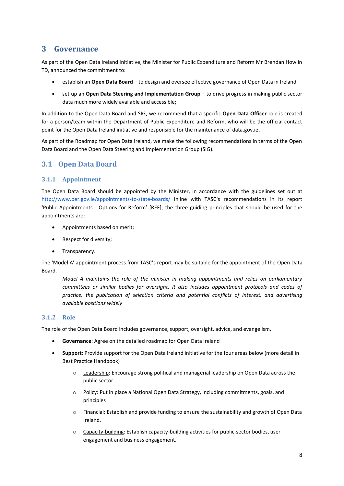# <span id="page-7-0"></span>**3 Governance**

As part of the Open Data Ireland Initiative, the Minister for Public Expenditure and Reform Mr Brendan Howlin TD, announced the commitment to:

- establish an **Open Data Board –** to design and oversee effective governance of Open Data in Ireland
- set up an **Open Data Steering and Implementation Group –** to drive progress in making public sector data much more widely available and accessible**;**

In addition to the Open Data Board and SIG, we recommend that a specific **Open Data Officer** role is created for a person/team within the Department of Public Expenditure and Reform, who will be the official contact point for the Open Data Ireland initiative and responsible for the maintenance of data.gov.ie.

As part of the Roadmap for Open Data Ireland, we make the following recommendations in terms of the Open Data Board and the Open Data Steering and Implementation Group (SIG).

### <span id="page-7-1"></span>**3.1 Open Data Board**

### <span id="page-7-2"></span>**3.1.1 Appointment**

The Open Data Board should be appointed by the Minister, in accordance with the guidelines set out at <http://www.per.gov.ie/appointments-to-state-boards/> Inline with TASC's recommendations in its report 'Public Appointments : Options for Reform' [REF], the three guiding principles that should be used for the appointments are:

- Appointments based on merit;
- Respect for diversity;
- Transparency.

The 'Model A' appointment process from TASC's report may be suitable for the appointment of the Open Data Board.

*Model A maintains the role of the minister in making appointments and relies on parliamentary committees or similar bodies for oversight. It also includes appointment protocols and codes of practice, the publication of selection criteria and potential conflicts of interest, and advertising available positions widely*

#### <span id="page-7-3"></span>**3.1.2 Role**

The role of the Open Data Board includes governance, support, oversight, advice, and evangelism.

- **Governance**: Agree on the detailed roadmap for Open Data Ireland
- **Support**: Provide support for the Open Data Ireland initiative for the four areas below (more detail in Best Practice Handbook)
	- o Leadership: Encourage strong political and managerial leadership on Open Data across the public sector.
	- o Policy: Put in place a National Open Data Strategy, including commitments, goals, and principles
	- o Financial: Establish and provide funding to ensure the sustainability and growth of Open Data Ireland.
	- o Capacity-building: Establish capacity-building activities for public-sector bodies, user engagement and business engagement.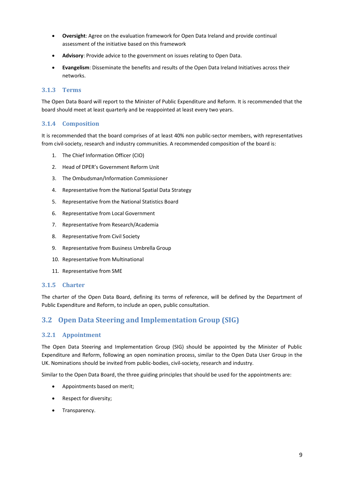- **Oversight**: Agree on the evaluation framework for Open Data Ireland and provide continual assessment of the initiative based on this framework
- **Advisory**: Provide advice to the government on issues relating to Open Data.
- **Evangelism**: Disseminate the benefits and results of the Open Data Ireland Initiatives across their networks.

### <span id="page-8-0"></span>**3.1.3 Terms**

The Open Data Board will report to the Minister of Public Expenditure and Reform. It is recommended that the board should meet at least quarterly and be reappointed at least every two years.

### <span id="page-8-1"></span>**3.1.4 Composition**

It is recommended that the board comprises of at least 40% non public-sector members, with representatives from civil-society, research and industry communities. A recommended composition of the board is:

- 1. The Chief Information Officer (CIO)
- 2. Head of DPER's Government Reform Unit
- 3. The Ombudsman/Information Commissioner
- 4. Representative from the National Spatial Data Strategy
- 5. Representative from the National Statistics Board
- 6. Representative from Local Government
- 7. Representative from Research/Academia
- 8. Representative from Civil Society
- 9. Representative from Business Umbrella Group
- 10. Representative from Multinational
- 11. Representative from SME

#### <span id="page-8-2"></span>**3.1.5 Charter**

The charter of the Open Data Board, defining its terms of reference, will be defined by the Department of Public Expenditure and Reform, to include an open, public consultation.

# <span id="page-8-3"></span>**3.2 Open Data Steering and Implementation Group (SIG)**

### <span id="page-8-4"></span>**3.2.1 Appointment**

The Open Data Steering and Implementation Group (SIG) should be appointed by the Minister of Public Expenditure and Reform, following an open nomination process, similar to the Open Data User Group in the UK. Nominations should be invited from public-bodies, civil-society, research and industry.

Similar to the Open Data Board, the three guiding principles that should be used for the appointments are:

- Appointments based on merit;
- Respect for diversity;
- Transparency.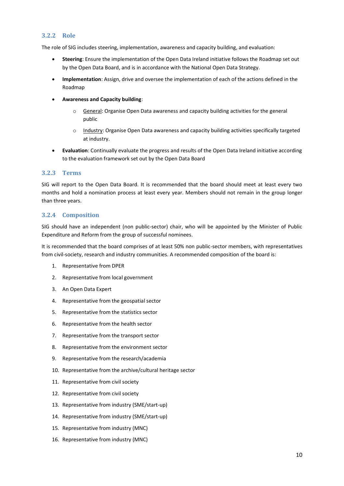#### <span id="page-9-0"></span>**3.2.2 Role**

The role of SIG includes steering, implementation, awareness and capacity building, and evaluation:

- **Steering**: Ensure the implementation of the Open Data Ireland initiative follows the Roadmap set out by the Open Data Board, and is in accordance with the National Open Data Strategy.
- **Implementation**: Assign, drive and oversee the implementation of each of the actions defined in the Roadmap
- **Awareness and Capacity building**:
	- $\circ$  General: Organise Open Data awareness and capacity building activities for the general public
	- o Industry: Organise Open Data awareness and capacity building activities specifically targeted at industry.
- **Evaluation**: Continually evaluate the progress and results of the Open Data Ireland initiative according to the evaluation framework set out by the Open Data Board

#### <span id="page-9-1"></span>**3.2.3 Terms**

SIG will report to the Open Data Board. It is recommended that the board should meet at least every two months and hold a nomination process at least every year. Members should not remain in the group longer than three years.

### <span id="page-9-2"></span>**3.2.4 Composition**

SIG should have an independent (non public-sector) chair, who will be appointed by the Minister of Public Expenditure and Reform from the group of successful nominees.

It is recommended that the board comprises of at least 50% non public-sector members, with representatives from civil-society, research and industry communities. A recommended composition of the board is:

- 1. Representative from DPER
- 2. Representative from local government
- 3. An Open Data Expert
- 4. Representative from the geospatial sector
- 5. Representative from the statistics sector
- 6. Representative from the health sector
- 7. Representative from the transport sector
- 8. Representative from the environment sector
- 9. Representative from the research/academia
- 10. Representative from the archive/cultural heritage sector
- 11. Representative from civil society
- 12. Representative from civil society
- 13. Representative from industry (SME/start-up)
- 14. Representative from industry (SME/start-up)
- 15. Representative from industry (MNC)
- 16. Representative from industry (MNC)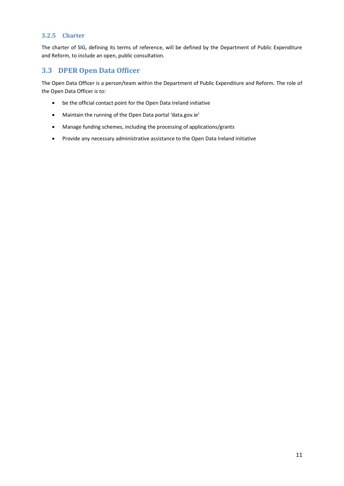#### <span id="page-10-0"></span>**3.2.5 Charter**

The charter of SIG, defining its terms of reference, will be defined by the Department of Public Expenditure and Reform, to include an open, public consultation.

### <span id="page-10-1"></span>**3.3 DPER Open Data Officer**

The Open Data Officer is a person/team within the Department of Public Expenditure and Reform. The role of the Open Data Officer is to:

- be the official contact point for the Open Data Ireland initiative
- Maintain the running of the Open Data portal 'data.gov.ie'
- Manage funding schemes, including the processing of applications/grants
- Provide any necessary administrative assistance to the Open Data Ireland initiative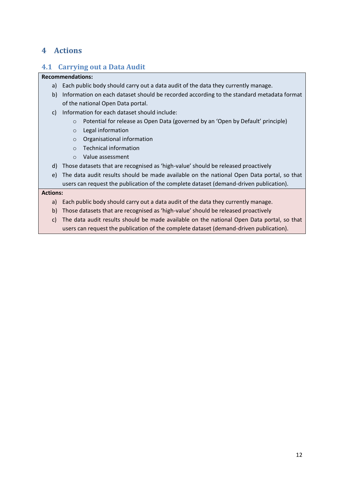# <span id="page-11-0"></span>**4 Actions**

# <span id="page-11-1"></span>**4.1 Carrying out a Data Audit**

### **Recommendations:**

- a) Each public body should carry out a data audit of the data they currently manage.
- b) Information on each dataset should be recorded according to the standard metadata format of the national Open Data portal.
- c) Information for each dataset should include:
	- o Potential for release as Open Data (governed by an 'Open by Default' principle)
	- o Legal information
	- o Organisational information
	- o Technical information
	- o Value assessment
- d) Those datasets that are recognised as 'high-value' should be released proactively
- e) The data audit results should be made available on the national Open Data portal, so that users can request the publication of the complete dataset (demand-driven publication).

- a) Each public body should carry out a data audit of the data they currently manage.
- b) Those datasets that are recognised as 'high-value' should be released proactively
- c) The data audit results should be made available on the national Open Data portal, so that users can request the publication of the complete dataset (demand-driven publication).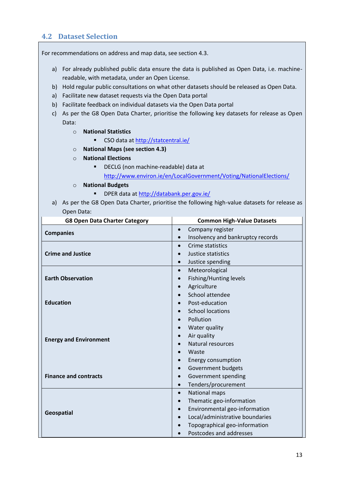# <span id="page-12-0"></span>**4.2 Dataset Selection**

For recommendations on address and map data, see section [4.3.](#page-14-0)

- a) For already published public data ensure the data is published as Open Data, i.e. machinereadable, with metadata, under an Open License.
- b) Hold regular public consultations on what other datasets should be released as Open Data.
- a) Facilitate new dataset requests via the Open Data portal
- b) Facilitate feedback on individual datasets via the Open Data portal
- c) As per the G8 Open Data Charter, prioritise the following key datasets for release as Open Data:
	- o **National Statistics** 
		- CSO data a[t http://statcentral.ie/](http://statcentral.ie/)
	- o **National Maps (see section [4.3\)](#page-14-0)**
	- o **National Elections** 
		- **•** DECLG (non machine-readable) data at <http://www.environ.ie/en/LocalGovernment/Voting/NationalElections/>
	- o **National Budgets**
		- DPER data at<http://databank.per.gov.ie/>
- a) As per the G8 Open Data Charter, prioritise the following high-value datasets for release as Open Data:

| <b>G8 Open Data Charter Category</b> | <b>Common High-Value Datasets</b>              |  |  |  |  |
|--------------------------------------|------------------------------------------------|--|--|--|--|
| <b>Companies</b>                     | Company register<br>$\bullet$                  |  |  |  |  |
|                                      | Insolvency and bankruptcy records<br>$\bullet$ |  |  |  |  |
|                                      | Crime statistics<br>$\bullet$                  |  |  |  |  |
| <b>Crime and Justice</b>             | Justice statistics                             |  |  |  |  |
|                                      | Justice spending<br>$\bullet$                  |  |  |  |  |
|                                      | Meteorological<br>$\bullet$                    |  |  |  |  |
| <b>Earth Observation</b>             | Fishing/Hunting levels<br>$\bullet$            |  |  |  |  |
|                                      | Agriculture<br>$\bullet$                       |  |  |  |  |
|                                      | School attendee<br>$\bullet$                   |  |  |  |  |
| <b>Education</b>                     | Post-education                                 |  |  |  |  |
|                                      | <b>School locations</b><br>$\bullet$           |  |  |  |  |
|                                      | Pollution<br>$\bullet$                         |  |  |  |  |
|                                      | Water quality<br>$\bullet$                     |  |  |  |  |
| <b>Energy and Environment</b>        | Air quality                                    |  |  |  |  |
|                                      | Natural resources                              |  |  |  |  |
|                                      | Waste                                          |  |  |  |  |
|                                      | <b>Energy consumption</b><br>$\bullet$         |  |  |  |  |
|                                      | Government budgets<br>$\bullet$                |  |  |  |  |
| <b>Finance and contracts</b>         | Government spending<br>$\bullet$               |  |  |  |  |
|                                      | Tenders/procurement<br>$\bullet$               |  |  |  |  |
|                                      | National maps<br>$\bullet$                     |  |  |  |  |
|                                      | Thematic geo-information<br>$\bullet$          |  |  |  |  |
| Geospatial                           | Environmental geo-information<br>$\bullet$     |  |  |  |  |
|                                      | Local/administrative boundaries<br>$\bullet$   |  |  |  |  |
|                                      | Topographical geo-information                  |  |  |  |  |
|                                      | Postcodes and addresses                        |  |  |  |  |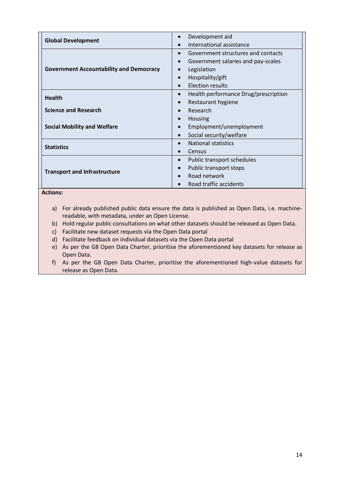| <b>Global Development</b>                      | Development aid<br>$\bullet$                      |  |  |  |
|------------------------------------------------|---------------------------------------------------|--|--|--|
|                                                | International assistance<br>$\bullet$             |  |  |  |
|                                                | Government structures and contacts<br>$\bullet$   |  |  |  |
|                                                | Government salaries and pay-scales<br>$\bullet$   |  |  |  |
| <b>Government Accountability and Democracy</b> | Legislation<br>$\bullet$                          |  |  |  |
|                                                | Hospitality/gift<br>$\bullet$                     |  |  |  |
|                                                | <b>Election results</b><br>$\bullet$              |  |  |  |
| <b>Health</b>                                  | Health performance Drug/prescription<br>$\bullet$ |  |  |  |
|                                                | Restaurant hygiene<br>$\bullet$                   |  |  |  |
| <b>Science and Research</b>                    | Research<br>$\bullet$                             |  |  |  |
|                                                | <b>Housing</b><br>$\bullet$                       |  |  |  |
| <b>Social Mobility and Welfare</b>             | Employment/unemployment<br>$\bullet$              |  |  |  |
|                                                | Social security/welfare<br>$\bullet$              |  |  |  |
| <b>Statistics</b>                              | <b>National statistics</b><br>$\bullet$           |  |  |  |
|                                                | Census<br>$\bullet$                               |  |  |  |
|                                                | Public transport schedules<br>$\bullet$           |  |  |  |
|                                                | Public transport stops<br>$\bullet$               |  |  |  |
| <b>Transport and Infrastructure</b>            | Road network<br>$\bullet$                         |  |  |  |
|                                                | Road traffic accidents                            |  |  |  |

- a) For already published public data ensure the data is published as Open Data, i.e. machinereadable, with metadata, under an Open License.
- b) Hold regular public consultations on what other datasets should be released as Open Data.
- c) Facilitate new dataset requests via the Open Data portal
- d) Facilitate feedback on individual datasets via the Open Data portal
- e) As per the G8 Open Data Charter, prioritise the aforementioned key datasets for release as Open Data.
- f) As per the G8 Open Data Charter, prioritise the aforementioned high-value datasets for release as Open Data.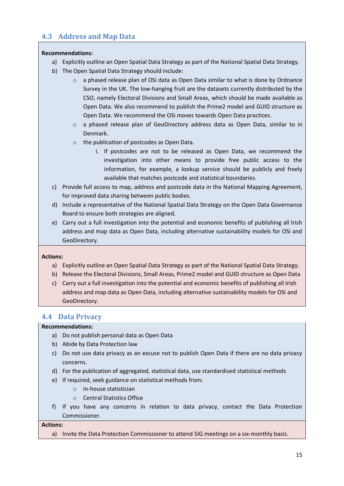# <span id="page-14-0"></span>**4.3 Address and Map Data**

### **Recommendations:**

- a) Explicitly outline an Open Spatial Data Strategy as part of the National Spatial Data Strategy.
- b) The Open Spatial Data Strategy should include:
	- $\circ$  a phased release plan of OSi data as Open Data similar to what is done by Ordnance Survey in the UK. The low-hanging fruit are the datasets currently distributed by the CSO, namely Electoral Divisions and Small Areas, which should be made available as Open Data. We also recommend to publish the Prime2 model and GUID structure as Open Data. We recommend the OSi moves towards Open Data practices.
	- o a phased release plan of GeoDirectory address data as Open Data, similar to in Denmark.
	- o the publication of postcodes as Open Data.
		- i. If postcodes are not to be released as Open Data, we recommend the investigation into other means to provide free public access to the information, for example, a lookup service should be publicly and freely available that matches postcode and statistical boundaries.
- c) Provide full access to map, address and postcode data in the National Mapping Agreement, for improved data sharing between public bodies.
- d) Include a representative of the National Spatial Data Strategy on the Open Data Governance Board to ensure both strategies are aligned.
- e) Carry out a full investigation into the potential and economic benefits of publishing all Irish address and map data as Open Data, including alternative sustainability models for OSi and GeoDirectory.

#### **Actions:**

- a) Explicitly outline an Open Spatial Data Strategy as part of the National Spatial Data Strategy.
- b) Release the Electoral Divisions, Small Areas, Prime2 model and GUID structure as Open Data
- c) Carry out a full investigation into the potential and economic benefits of publishing all Irish address and map data as Open Data, including alternative sustainability models for OSi and GeoDirectory.

### <span id="page-14-1"></span>**4.4 Data Privacy**

### **Recommendations:**

- a) Do not publish personal data as Open Data
- b) Abide by Data Protection law
- c) Do not use data privacy as an excuse not to publish Open Data if there are no data privacy concerns.
- d) For the publication of aggregated, statistical data, use standardised statistical methods
- e) If required, seek guidance on statistical methods from:
	- o in-house statistician
	- o Central Statistics Office
- f) If you have any concerns in relation to data privacy, contact the Data Protection Commissioner.

#### **Actions:**

a) Invite the Data Protection Commissioner to attend SIG meetings on a six-monthly basis.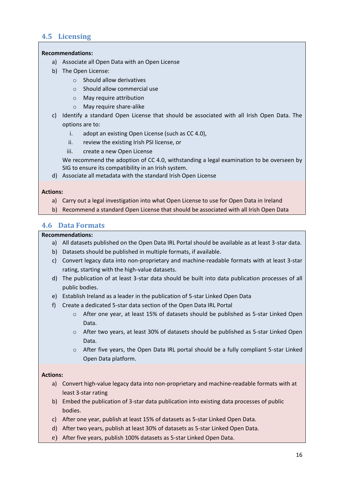# <span id="page-15-0"></span>**4.5 Licensing**

#### **Recommendations:**

- a) Associate all Open Data with an Open License
- b) The Open License:
	- o Should allow derivatives
	- o Should allow commercial use
	- o May require attribution
	- o May require share-alike
- c) Identify a standard Open License that should be associated with all Irish Open Data. The options are to:
	- i. adopt an existing Open License (such as CC 4.0),
	- ii. review the existing Irish PSI license, or
	- iii. create a new Open License

We recommend the adoption of CC 4.0, withstanding a legal examination to be overseen by SIG to ensure its compatibility in an Irish system.

d) Associate all metadata with the standard Irish Open License

#### **Actions:**

- a) Carry out a legal investigation into what Open License to use for Open Data in Ireland
- b) Recommend a standard Open License that should be associated with all Irish Open Data

### <span id="page-15-1"></span>**4.6 Data Formats**

#### **Recommendations:**

- a) All datasets published on the Open Data IRL Portal should be available as at least 3-star data.
- b) Datasets should be published in multiple formats, if available.
- c) Convert legacy data into non-proprietary and machine-readable formats with at least 3-star rating, starting with the high-value datasets.
- d) The publication of at least 3-star data should be built into data publication processes of all public bodies.
- e) Establish Ireland as a leader in the publication of 5-star Linked Open Data
- f) Create a dedicated 5-star data section of the Open Data IRL Portal
	- $\circ$  After one year, at least 15% of datasets should be published as 5-star Linked Open Data.
	- o After two years, at least 30% of datasets should be published as 5-star Linked Open Data.
	- o After five years, the Open Data IRL portal should be a fully compliant 5-star Linked Open Data platform.

- a) Convert high-value legacy data into non-proprietary and machine-readable formats with at least 3-star rating
- b) Embed the publication of 3-star data publication into existing data processes of public bodies.
- c) After one year, publish at least 15% of datasets as 5-star Linked Open Data.
- d) After two years, publish at least 30% of datasets as 5-star Linked Open Data.
- e) After five years, publish 100% datasets as 5-star Linked Open Data.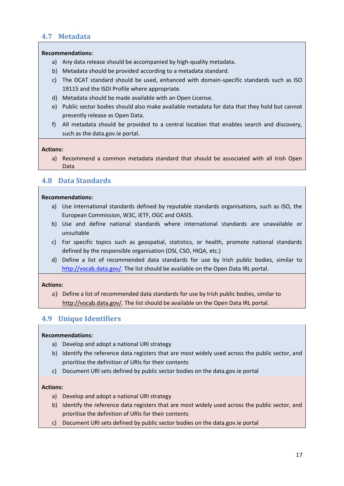## <span id="page-16-0"></span>**4.7 Metadata**

#### **Recommendations:**

- a) Any data release should be accompanied by high-quality metadata.
- b) Metadata should be provided according to a metadata standard.
- c) The DCAT standard should be used, enhanced with domain-specific standards such as ISO 19115 and the ISDI Profile where appropriate.
- d) Metadata should be made available with an Open License.
- e) Public sector bodies should also make available metadata for data that they hold but cannot presently release as Open Data.
- f) All metadata should be provided to a central location that enables search and discovery, such as the data.gov.ie portal.

### **Actions:**

a) Recommend a common metadata standard that should be associated with all Irish Open Data

### <span id="page-16-1"></span>**4.8 Data Standards**

#### **Recommendations:**

- a) Use international standards defined by reputable standards organisations, such as ISO, the European Commission, W3C, IETF, OGC and OASIS.
- b) Use and define national standards where international standards are unavailable or unsuitable
- c) For specific topics such as geospatial, statistics, or health, promote national standards defined by the responsible organisation (OSI, CSO, HIQA, etc.)
- d) Define a list of recommended data standards for use by Irish public bodies, similar to [http://vocab.data.gov/.](http://vocab.data.gov/) The list should be available on the Open Data IRL portal.

#### **Actions:**

a) Define a list of recommended data standards for use by Irish public bodies, similar t[o](http://vocab.data.gov/) [http://vocab.data.gov/.](http://vocab.data.gov/) The list should be available on the Open Data IRL portal.

# <span id="page-16-2"></span>**4.9 Unique Identifiers**

### **Recommendations:**

- a) Develop and adopt a national URI strategy
- b) Identify the reference data registers that are most widely used across the public sector, and prioritise the definition of URIs for their contents
- c) Document URI sets defined by public sector bodies on the data.gov.ie portal

- a) Develop and adopt a national URI strategy
- b) Identify the reference data registers that are most widely used across the public sector, and prioritise the definition of URIs for their contents
- c) Document URI sets defined by public sector bodies on the data.gov.ie portal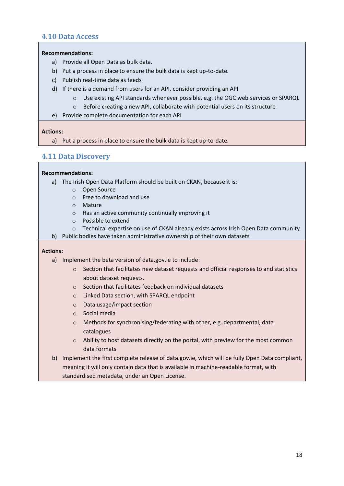### <span id="page-17-0"></span>**4.10 Data Access**

#### **Recommendations:**

- a) Provide all Open Data as bulk data.
- b) Put a process in place to ensure the bulk data is kept up-to-date.
- c) Publish real-time data as feeds
- d) If there is a demand from users for an API, consider providing an API
	- o Use existing API standards whenever possible, e.g. the OGC web services or SPARQL
	- $\circ$  Before creating a new API, collaborate with potential users on its structure
- e) Provide complete documentation for each API

#### **Actions:**

a) Put a process in place to ensure the bulk data is kept up-to-date.

### <span id="page-17-1"></span>**4.11 Data Discovery**

#### **Recommendations:**

- a) The Irish Open Data Platform should be built on CKAN, because it is:
	- o Open Source
	- o Free to download and use
	- o Mature
	- o Has an active community continually improving it
	- o Possible to extend
	- $\circ$  Technical expertise on use of CKAN already exists across Irish Open Data community
- b) Public bodies have taken administrative ownership of their own datasets

- a) Implement the beta version of data.gov.ie to include:
	- $\circ$  Section that facilitates new dataset requests and official responses to and statistics about dataset requests.
	- o Section that facilitates feedback on individual datasets
	- o Linked Data section, with SPARQL endpoint
	- o Data usage/impact section
	- o Social media
	- o Methods for synchronising/federating with other, e.g. departmental, data catalogues
	- o Ability to host datasets directly on the portal, with preview for the most common data formats
- b) Implement the first complete release of data.gov.ie, which will be fully Open Data compliant, meaning it will only contain data that is available in machine-readable format, with standardised metadata, under an Open License.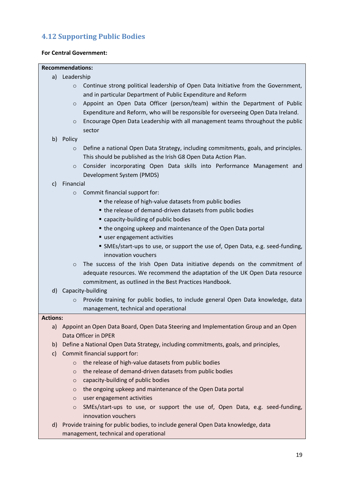# <span id="page-18-0"></span>**4.12 Supporting Public Bodies**

#### **For Central Government:**

#### **Recommendations:**

- a) Leadership
	- $\circ$  Continue strong political leadership of Open Data Initiative from the Government, and in particular Department of Public Expenditure and Reform
	- o Appoint an Open Data Officer (person/team) within the Department of Public Expenditure and Reform, who will be responsible for overseeing Open Data Ireland.
	- o Encourage Open Data Leadership with all management teams throughout the public sector
- b) Policy
	- o Define a national Open Data Strategy, including commitments, goals, and principles. This should be published as the Irish G8 Open Data Action Plan.
	- o Consider incorporating Open Data skills into Performance Management and Development System (PMDS)

#### c) Financial

- o Commit financial support for:
	- the release of high-value datasets from public bodies
		- $\blacksquare$  the release of demand-driven datasets from public bodies
		- capacity-building of public bodies
		- the ongoing upkeep and maintenance of the Open Data portal
		- user engagement activities
		- SMEs/start-ups to use, or support the use of, Open Data, e.g. seed-funding, innovation vouchers
- o The success of the Irish Open Data initiative depends on the commitment of adequate resources. We recommend the adaptation of the UK Open Data resource commitment, as outlined in the Best Practices Handbook.
- d) Capacity-building
	- o Provide training for public bodies, to include general Open Data knowledge, data management, technical and operational

- a) Appoint an Open Data Board, Open Data Steering and Implementation Group and an Open Data Officer in DPER
- b) Define a National Open Data Strategy, including commitments, goals, and principles,
- c) Commit financial support for:
	- o the release of high-value datasets from public bodies
	- o the release of demand-driven datasets from public bodies
	- o capacity-building of public bodies
	- o the ongoing upkeep and maintenance of the Open Data portal
	- o user engagement activities
	- o SMEs/start-ups to use, or support the use of, Open Data, e.g. seed-funding, innovation vouchers
- d) Provide training for public bodies, to include general Open Data knowledge, data management, technical and operational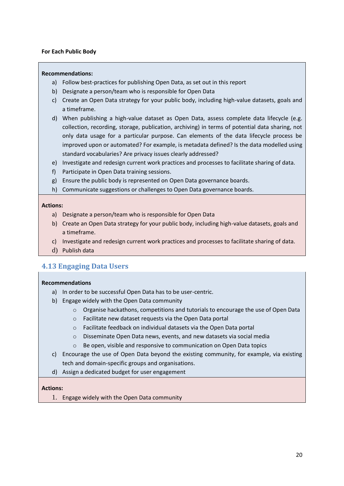#### **For Each Public Body**

#### **Recommendations:**

- a) Follow best-practices for publishing Open Data, as set out in this report
- b) Designate a person/team who is responsible for Open Data
- c) Create an Open Data strategy for your public body, including high-value datasets, goals and a timeframe.
- d) When publishing a high-value dataset as Open Data, assess complete data lifecycle (e.g. collection, recording, storage, publication, archiving) in terms of potential data sharing, not only data usage for a particular purpose. Can elements of the data lifecycle process be improved upon or automated? For example, is metadata defined? Is the data modelled using standard vocabularies? Are privacy issues clearly addressed?
- e) Investigate and redesign current work practices and processes to facilitate sharing of data.
- f) Participate in Open Data training sessions.
- g) Ensure the public body is represented on Open Data governance boards.
- h) Communicate suggestions or challenges to Open Data governance boards.

#### **Actions:**

- a) Designate a person/team who is responsible for Open Data
- b) Create an Open Data strategy for your public body, including high-value datasets, goals and a timeframe.
- c) Investigate and redesign current work practices and processes to facilitate sharing of data.
- d) Publish data

### <span id="page-19-0"></span>**4.13 Engaging Data Users**

#### **Recommendations**

- a) In order to be successful Open Data has to be user-centric.
- b) Engage widely with the Open Data community
	- $\circ$  Organise hackathons, competitions and tutorials to encourage the use of Open Data
	- o Facilitate new dataset requests via the Open Data portal
	- o Facilitate feedback on individual datasets via the Open Data portal
	- o Disseminate Open Data news, events, and new datasets via social media
	- o Be open, visible and responsive to communication on Open Data topics
- c) Encourage the use of Open Data beyond the existing community, for example, via existing tech and domain-specific groups and organisations.
- d) Assign a dedicated budget for user engagement

#### **Actions:**

1. Engage widely with the Open Data community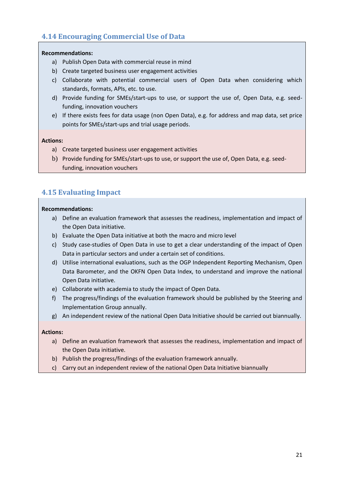# <span id="page-20-0"></span>**4.14 Encouraging Commercial Use of Data**

#### **Recommendations:**

- a) Publish Open Data with commercial reuse in mind
- b) Create targeted business user engagement activities
- c) Collaborate with potential commercial users of Open Data when considering which standards, formats, APIs, etc. to use.
- d) Provide funding for SMEs/start-ups to use, or support the use of, Open Data, e.g. seedfunding, innovation vouchers
- e) If there exists fees for data usage (non Open Data), e.g. for address and map data, set price points for SMEs/start-ups and trial usage periods.

#### **Actions:**

- a) Create targeted business user engagement activities
- b) Provide funding for SMEs/start-ups to use, or support the use of, Open Data, e.g. seedfunding, innovation vouchers

# <span id="page-20-1"></span>**4.15 Evaluating Impact**

#### **Recommendations:**

- a) Define an evaluation framework that assesses the readiness, implementation and impact of the Open Data initiative.
- b) Evaluate the Open Data initiative at both the macro and micro level
- c) Study case-studies of Open Data in use to get a clear understanding of the impact of Open Data in particular sectors and under a certain set of conditions.
- d) Utilise international evaluations, such as the OGP Independent Reporting Mechanism, Open Data Barometer, and the OKFN Open Data Index, to understand and improve the national Open Data initiative.
- e) Collaborate with academia to study the impact of Open Data.
- f) The progress/findings of the evaluation framework should be published by the Steering and Implementation Group annually.
- g) An independent review of the national Open Data Initiative should be carried out biannually.

- a) Define an evaluation framework that assesses the readiness, implementation and impact of the Open Data initiative.
- b) Publish the progress/findings of the evaluation framework annually.
- c) Carry out an independent review of the national Open Data Initiative biannually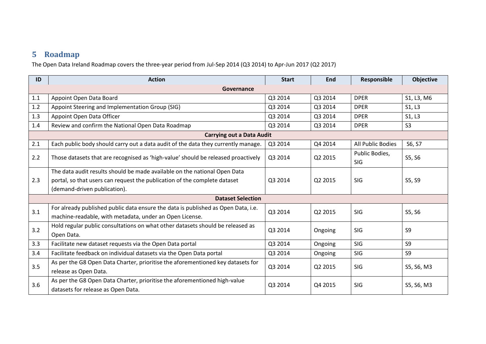# **5 Roadmap**

The Open Data Ireland Roadmap covers the three-year period from Jul-Sep 2014 (Q3 2014) to Apr-Jun 2017 (Q2 2017)

<span id="page-21-0"></span>

| ID  | <b>Action</b>                                                                                                                                          | <b>Start</b> | <b>End</b> | Responsible                  | <b>Objective</b> |  |  |
|-----|--------------------------------------------------------------------------------------------------------------------------------------------------------|--------------|------------|------------------------------|------------------|--|--|
|     | Governance                                                                                                                                             |              |            |                              |                  |  |  |
| 1.1 | Appoint Open Data Board                                                                                                                                | Q3 2014      | Q3 2014    | <b>DPER</b>                  | S1, L3, M6       |  |  |
| 1.2 | Appoint Steering and Implementation Group (SIG)                                                                                                        | Q3 2014      | Q3 2014    | <b>DPER</b>                  | S1, L3           |  |  |
| 1.3 | Appoint Open Data Officer                                                                                                                              | Q3 2014      | Q3 2014    | <b>DPER</b>                  | S1, L3           |  |  |
| 1.4 | Review and confirm the National Open Data Roadmap                                                                                                      | Q3 2014      | Q3 2014    | <b>DPER</b>                  | S <sub>3</sub>   |  |  |
|     | <b>Carrying out a Data Audit</b>                                                                                                                       |              |            |                              |                  |  |  |
| 2.1 | Each public body should carry out a data audit of the data they currently manage.                                                                      | Q3 2014      | Q4 2014    | All Public Bodies            | S6, S7           |  |  |
| 2.2 | Those datasets that are recognised as 'high-value' should be released proactively                                                                      | Q3 2014      | Q2 2015    | Public Bodies,<br><b>SIG</b> | S5, S6           |  |  |
| 2.3 | The data audit results should be made available on the national Open Data<br>portal, so that users can request the publication of the complete dataset | Q3 2014      | Q2 2015    | SIG                          | S5, S9           |  |  |
|     | (demand-driven publication).                                                                                                                           |              |            |                              |                  |  |  |
|     | <b>Dataset Selection</b>                                                                                                                               |              |            |                              |                  |  |  |
| 3.1 | For already published public data ensure the data is published as Open Data, i.e.<br>machine-readable, with metadata, under an Open License.           | Q3 2014      | Q2 2015    | SIG                          | S5, S6           |  |  |
| 3.2 | Hold regular public consultations on what other datasets should be released as<br>Open Data.                                                           | Q3 2014      | Ongoing    | SIG                          | S <sub>9</sub>   |  |  |
| 3.3 | Facilitate new dataset requests via the Open Data portal                                                                                               | Q3 2014      | Ongoing    | SIG                          | S <sub>9</sub>   |  |  |
| 3.4 | Facilitate feedback on individual datasets via the Open Data portal                                                                                    | Q3 2014      | Ongoing    | SIG                          | S <sub>9</sub>   |  |  |
| 3.5 | As per the G8 Open Data Charter, prioritise the aforementioned key datasets for<br>release as Open Data.                                               | Q3 2014      | Q2 2015    | SIG                          | S5, S6, M3       |  |  |
| 3.6 | As per the G8 Open Data Charter, prioritise the aforementioned high-value<br>datasets for release as Open Data.                                        | Q3 2014      | Q4 2015    | SIG                          | S5, S6, M3       |  |  |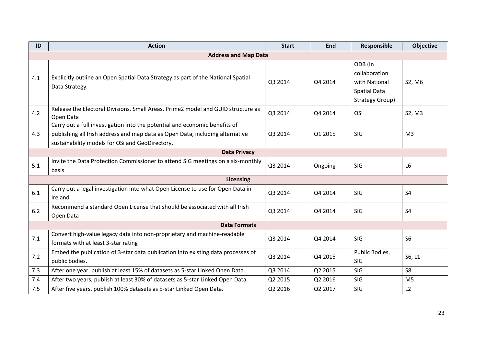| ID                          | <b>Action</b>                                                                                                                                                                                                  | <b>Start</b> | End     | Responsible                                                                         | <b>Objective</b> |  |  |
|-----------------------------|----------------------------------------------------------------------------------------------------------------------------------------------------------------------------------------------------------------|--------------|---------|-------------------------------------------------------------------------------------|------------------|--|--|
| <b>Address and Map Data</b> |                                                                                                                                                                                                                |              |         |                                                                                     |                  |  |  |
| 4.1                         | Explicitly outline an Open Spatial Data Strategy as part of the National Spatial<br>Data Strategy.                                                                                                             | Q3 2014      | Q4 2014 | ODB (in<br>collaboration<br>with National<br><b>Spatial Data</b><br>Strategy Group) | S2, M6           |  |  |
| 4.2                         | Release the Electoral Divisions, Small Areas, Prime2 model and GUID structure as<br>Open Data                                                                                                                  | Q3 2014      | Q4 2014 | OSi                                                                                 | S2, M3           |  |  |
| 4.3                         | Carry out a full investigation into the potential and economic benefits of<br>publishing all Irish address and map data as Open Data, including alternative<br>sustainability models for OSi and GeoDirectory. | Q3 2014      | Q1 2015 | SIG                                                                                 | M <sub>3</sub>   |  |  |
|                             | <b>Data Privacy</b>                                                                                                                                                                                            |              |         |                                                                                     |                  |  |  |
| 5.1                         | Invite the Data Protection Commissioner to attend SIG meetings on a six-monthly<br>basis                                                                                                                       | Q3 2014      | Ongoing | SIG                                                                                 | L <sub>6</sub>   |  |  |
|                             | <b>Licensing</b>                                                                                                                                                                                               |              |         |                                                                                     |                  |  |  |
| 6.1                         | Carry out a legal investigation into what Open License to use for Open Data in<br>Ireland                                                                                                                      | Q3 2014      | Q4 2014 | SIG                                                                                 | <b>S4</b>        |  |  |
| 6.2                         | Recommend a standard Open License that should be associated with all Irish<br>Open Data                                                                                                                        | Q3 2014      | Q4 2014 | SIG                                                                                 | <b>S4</b>        |  |  |
|                             | <b>Data Formats</b>                                                                                                                                                                                            |              |         |                                                                                     |                  |  |  |
| 7.1                         | Convert high-value legacy data into non-proprietary and machine-readable<br>formats with at least 3-star rating                                                                                                | Q3 2014      | Q4 2014 | SIG                                                                                 | S <sub>6</sub>   |  |  |
| 7.2                         | Embed the publication of 3-star data publication into existing data processes of<br>public bodies.                                                                                                             | Q3 2014      | Q4 2015 | Public Bodies,<br>SIG                                                               | S6, L1           |  |  |
| 7.3                         | After one year, publish at least 15% of datasets as 5-star Linked Open Data.                                                                                                                                   | Q3 2014      | Q2 2015 | SIG                                                                                 | S <sub>8</sub>   |  |  |
| 7.4                         | After two years, publish at least 30% of datasets as 5-star Linked Open Data.                                                                                                                                  | Q2 2015      | Q2 2016 | SIG                                                                                 | M <sub>5</sub>   |  |  |
| 7.5                         | After five years, publish 100% datasets as 5-star Linked Open Data.                                                                                                                                            | Q2 2016      | Q2 2017 | SIG                                                                                 | L2               |  |  |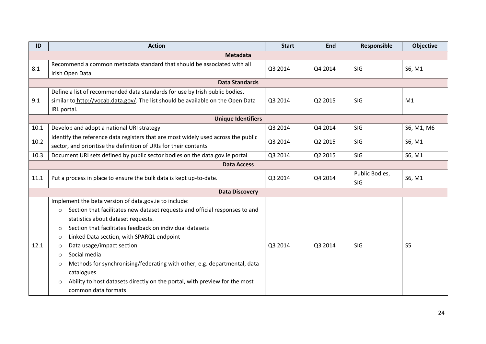| ID   | <b>Action</b>                                                                              | <b>Start</b> | End     | Responsible           | Objective      |  |  |  |
|------|--------------------------------------------------------------------------------------------|--------------|---------|-----------------------|----------------|--|--|--|
|      | <b>Metadata</b>                                                                            |              |         |                       |                |  |  |  |
| 8.1  | Recommend a common metadata standard that should be associated with all<br>Irish Open Data | Q3 2014      | Q4 2014 | SIG                   | S6, M1         |  |  |  |
|      | <b>Data Standards</b>                                                                      |              |         |                       |                |  |  |  |
|      | Define a list of recommended data standards for use by Irish public bodies,                |              |         |                       |                |  |  |  |
| 9.1  | similar to http://vocab.data.gov/. The list should be available on the Open Data           | Q3 2014      | Q2 2015 | <b>SIG</b>            | M1             |  |  |  |
|      | IRL portal.                                                                                |              |         |                       |                |  |  |  |
|      | <b>Unique Identifiers</b>                                                                  |              |         |                       |                |  |  |  |
| 10.1 | Develop and adopt a national URI strategy                                                  | Q3 2014      | Q4 2014 | SIG                   | S6, M1, M6     |  |  |  |
| 10.2 | Identify the reference data registers that are most widely used across the public          | Q3 2014      | Q2 2015 | SIG                   | S6, M1         |  |  |  |
|      | sector, and prioritise the definition of URIs for their contents                           |              |         |                       |                |  |  |  |
| 10.3 | Document URI sets defined by public sector bodies on the data.gov.ie portal                | Q3 2014      | Q2 2015 | SIG                   | S6, M1         |  |  |  |
|      | <b>Data Access</b>                                                                         |              |         |                       |                |  |  |  |
| 11.1 | Put a process in place to ensure the bulk data is kept up-to-date.                         |              | Q4 2014 | Public Bodies,<br>SIG | S6, M1         |  |  |  |
|      | <b>Data Discovery</b>                                                                      |              |         |                       |                |  |  |  |
|      | Implement the beta version of data.gov.ie to include:                                      |              |         |                       |                |  |  |  |
|      | Section that facilitates new dataset requests and official responses to and<br>$\circ$     |              |         |                       |                |  |  |  |
|      | statistics about dataset requests.                                                         |              |         |                       |                |  |  |  |
|      | Section that facilitates feedback on individual datasets<br>$\Omega$                       |              |         |                       |                |  |  |  |
|      | Linked Data section, with SPARQL endpoint<br>$\circ$                                       |              |         |                       |                |  |  |  |
| 12.1 | Data usage/impact section<br>$\circ$                                                       | Q3 2014      | Q3 2014 | SIG                   | S <sub>5</sub> |  |  |  |
|      | Social media<br>$\circ$                                                                    |              |         |                       |                |  |  |  |
|      | Methods for synchronising/federating with other, e.g. departmental, data<br>$\circ$        |              |         |                       |                |  |  |  |
|      | catalogues                                                                                 |              |         |                       |                |  |  |  |
|      | Ability to host datasets directly on the portal, with preview for the most<br>$\circ$      |              |         |                       |                |  |  |  |
|      | common data formats                                                                        |              |         |                       |                |  |  |  |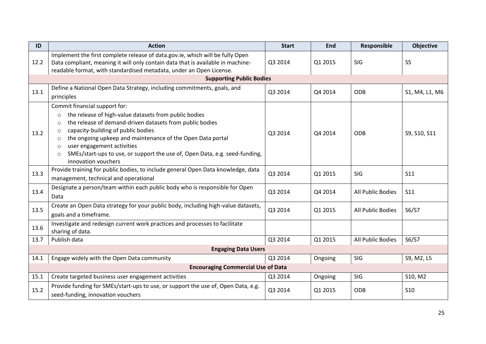| ID   | <b>Action</b>                                                                                                                                                                                                                                                                                                                                                                                                                                                | <b>Start</b> | <b>End</b> | Responsible       | <b>Objective</b> |  |  |
|------|--------------------------------------------------------------------------------------------------------------------------------------------------------------------------------------------------------------------------------------------------------------------------------------------------------------------------------------------------------------------------------------------------------------------------------------------------------------|--------------|------------|-------------------|------------------|--|--|
| 12.2 | Implement the first complete release of data.gov.ie, which will be fully Open<br>Data compliant, meaning it will only contain data that is available in machine-<br>readable format, with standardised metadata, under an Open License.                                                                                                                                                                                                                      | Q3 2014      | Q1 2015    | SIG               | S <sub>5</sub>   |  |  |
|      | <b>Supporting Public Bodies</b>                                                                                                                                                                                                                                                                                                                                                                                                                              |              |            |                   |                  |  |  |
| 13.1 | Define a National Open Data Strategy, including commitments, goals, and<br>principles                                                                                                                                                                                                                                                                                                                                                                        | Q3 2014      | Q4 2014    | ODB               | S1, M4, L1, M6   |  |  |
| 13.2 | Commit financial support for:<br>the release of high-value datasets from public bodies<br>$\circ$<br>the release of demand-driven datasets from public bodies<br>$\circ$<br>capacity-building of public bodies<br>$\circ$<br>the ongoing upkeep and maintenance of the Open Data portal<br>$\circ$<br>user engagement activities<br>$\circ$<br>SMEs/start-ups to use, or support the use of, Open Data, e.g. seed-funding,<br>$\circ$<br>innovation vouchers | Q3 2014      | Q4 2014    | <b>ODB</b>        | S9, S10, S11     |  |  |
| 13.3 | Provide training for public bodies, to include general Open Data knowledge, data<br>management, technical and operational                                                                                                                                                                                                                                                                                                                                    | Q3 2014      | Q1 2015    | SIG               | <b>S11</b>       |  |  |
| 13.4 | Designate a person/team within each public body who is responsible for Open<br>Data                                                                                                                                                                                                                                                                                                                                                                          | Q3 2014      | Q4 2014    | All Public Bodies | <b>S11</b>       |  |  |
| 13.5 | Create an Open Data strategy for your public body, including high-value datasets,<br>goals and a timeframe.                                                                                                                                                                                                                                                                                                                                                  | Q3 2014      | Q1 2015    | All Public Bodies | S6/S7            |  |  |
| 13.6 | Investigate and redesign current work practices and processes to facilitate<br>sharing of data.                                                                                                                                                                                                                                                                                                                                                              |              |            |                   |                  |  |  |
| 13.7 | Publish data                                                                                                                                                                                                                                                                                                                                                                                                                                                 | Q3 2014      | Q1 2015    | All Public Bodies | S6/S7            |  |  |
|      | <b>Engaging Data Users</b>                                                                                                                                                                                                                                                                                                                                                                                                                                   |              |            |                   |                  |  |  |
| 14.1 | Engage widely with the Open Data community                                                                                                                                                                                                                                                                                                                                                                                                                   | Q3 2014      | Ongoing    | SIG               | S9, M2, L5       |  |  |
|      | <b>Encouraging Commercial Use of Data</b>                                                                                                                                                                                                                                                                                                                                                                                                                    |              |            |                   |                  |  |  |
| 15.1 | Create targeted business user engagement activities                                                                                                                                                                                                                                                                                                                                                                                                          | Q3 2014      | Ongoing    | SIG               | S10, M2          |  |  |
| 15.2 | Provide funding for SMEs/start-ups to use, or support the use of, Open Data, e.g.<br>seed-funding, innovation vouchers                                                                                                                                                                                                                                                                                                                                       | Q3 2014      | Q1 2015    | ODB               | <b>S10</b>       |  |  |